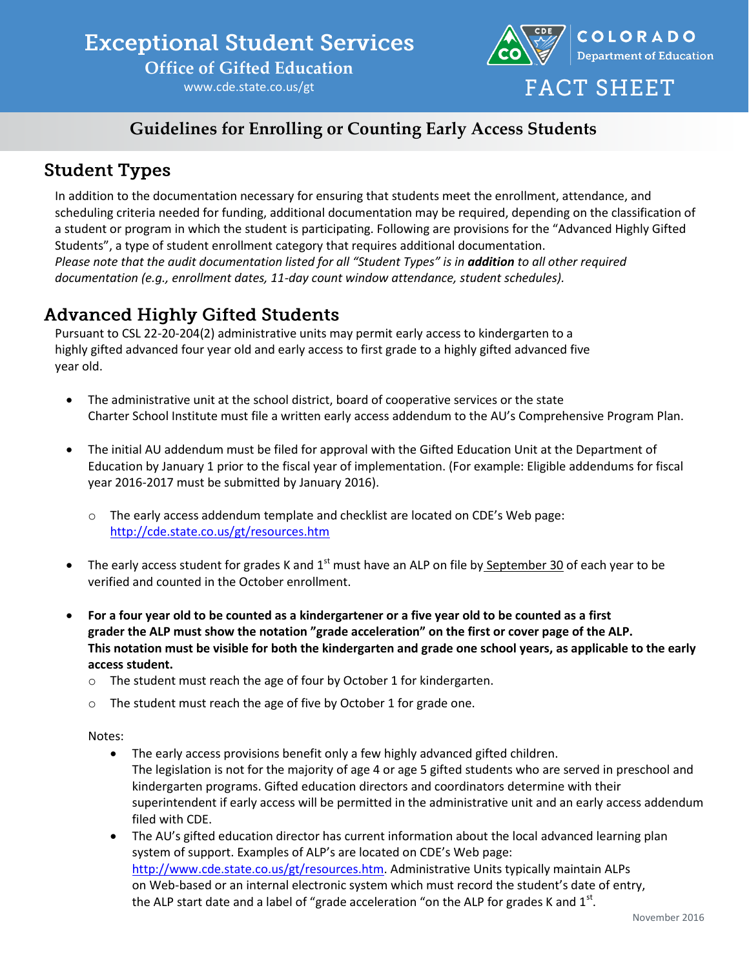# **Exceptional Student Services**

**Office of Gifted Education**

www.cde.state.co.us/gt



#### **Guidelines for Enrolling or Counting Early Access Students**

### **Student Types**

In addition to the documentation necessary for ensuring that students meet the enrollment, attendance, and scheduling criteria needed for funding, additional documentation may be required, depending on the classification of a student or program in which the student is participating. Following are provisions for the "Advanced Highly Gifted Students", a type of student enrollment category that requires additional documentation. *Please note that the audit documentation listed for all "Student Types" is in <i>addition to all other required documentation (e.g., enrollment dates, 11‐day count window attendance, student schedules).*

### **Advanced Highly Gifted Students**

Pursuant to CSL 22-20-204(2) administrative units may permit early access to kindergarten to a highly gifted advanced four year old and early access to first grade to a highly gifted advanced five year old.

- The administrative unit at the school district, board of cooperative services or the state Charter School Institute must file a written early access addendum to the AU's Comprehensive Program Plan.
- The initial AU addendum must be filed for approval with the Gifted Education Unit at the Department of Education by January 1 prior to the fiscal year of implementation. (For example: Eligible addendums for fiscal year 2016-2017 must be submitted by January 2016).
	- o The early access addendum template and checklist are located on CDE's Web page: <http://cde.state.co.us/gt/resources.htm>
- The early access student for grades K and  $1<sup>st</sup>$  must have an ALP on file by September 30 of each year to be verified and counted in the October enrollment.
- **For a four year old to be counted as a kindergartener or a five year old to be counted as a first grader the ALP must show the notation "grade acceleration" on the first or cover page of the ALP. This notation must be visible for both the kindergarten and grade one school years, as applicable to the early access student.**
	- o The student must reach the age of four by October 1 for kindergarten.
	- o The student must reach the age of five by October 1 for grade one.

Notes:

- The early access provisions benefit only a few highly advanced gifted children. The legislation is not for the majority of age 4 or age 5 gifted students who are served in preschool and kindergarten programs. Gifted education directors and coordinators determine with their superintendent if early access will be permitted in the administrative unit and an early access addendum filed with CDE.
- The AU's gifted education director has current information about the local advanced learning plan system of support. Examples of ALP's are located on CDE's Web page: [http://www.cde.state.co.us/gt/resources.htm.](http://www.cde.state.co.us/gt/resources.htm) Administrative Units typically maintain ALPs on Web-based or an internal electronic system which must record the student's date of entry, the ALP start date and a label of "grade acceleration "on the ALP for grades K and  $1^{\text{st}}$ .